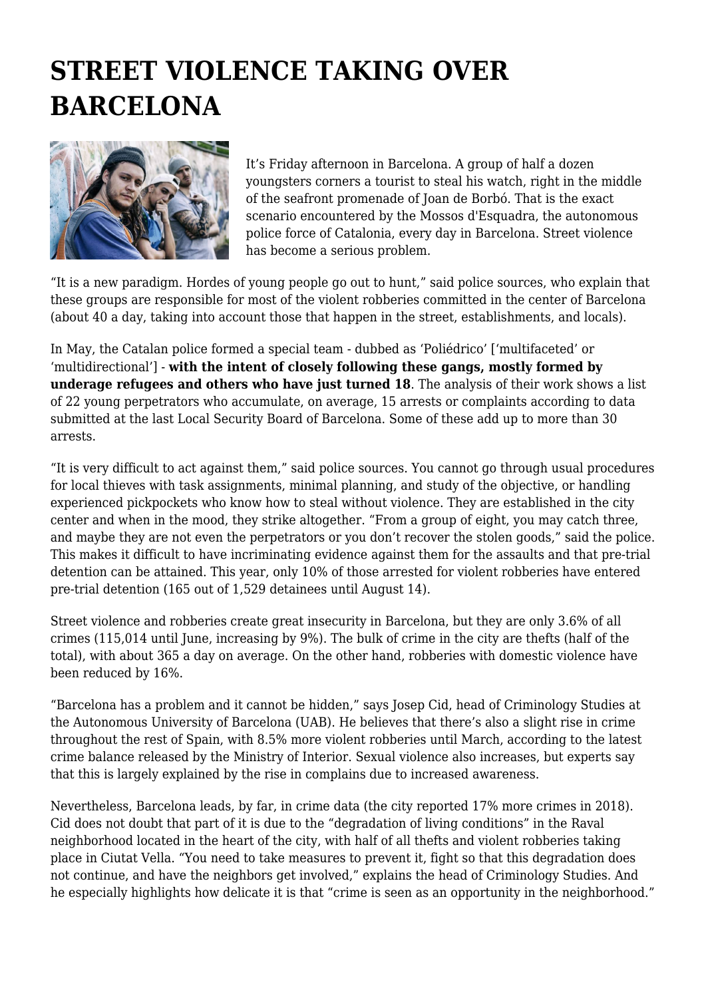## **STREET VIOLENCE TAKING OVER BARCELONA**



It's Friday afternoon in Barcelona. A group of half a dozen youngsters corners a tourist to steal his watch, right in the middle of the seafront promenade of Joan de Borbó. That is the exact scenario encountered by the Mossos d'Esquadra, the autonomous police force of Catalonia, every day in Barcelona. Street violence has become a serious problem.

"It is a new paradigm. Hordes of young people go out to hunt," said police sources, who explain that these groups are responsible for most of the violent robberies committed in the center of Barcelona (about 40 a day, taking into account those that happen in the street, establishments, and locals).

In May, the Catalan police formed a special team - dubbed as 'Poliédrico' ['multifaceted' or 'multidirectional'] - **with the intent of closely following these gangs, mostly formed by underage refugees and others who have just turned 18**. The analysis of their work shows a list of 22 young perpetrators who accumulate, on average, 15 arrests or complaints according to data submitted at the last Local Security Board of Barcelona. Some of these add up to more than 30 arrests.

"It is very difficult to act against them," said police sources. You cannot go through usual procedures for local thieves with task assignments, minimal planning, and study of the objective, or handling experienced pickpockets who know how to steal without violence. They are established in the city center and when in the mood, they strike altogether. "From a group of eight, you may catch three, and maybe they are not even the perpetrators or you don't recover the stolen goods," said the police. This makes it difficult to have incriminating evidence against them for the assaults and that pre-trial detention can be attained. This year, only 10% of those arrested for violent robberies have entered pre-trial detention (165 out of 1,529 detainees until August 14).

Street violence and robberies create great insecurity in Barcelona, but they are only 3.6% of all crimes (115,014 until June, increasing by 9%). The bulk of crime in the city are thefts (half of the total), with about 365 a day on average. On the other hand, robberies with domestic violence have been reduced by 16%.

"Barcelona has a problem and it cannot be hidden," says Josep Cid, head of Criminology Studies at the Autonomous University of Barcelona (UAB). He believes that there's also a slight rise in crime throughout the rest of Spain, with 8.5% more violent robberies until March, according to the latest crime balance released by the Ministry of Interior. Sexual violence also increases, but experts say that this is largely explained by the rise in complains due to increased awareness.

Nevertheless, Barcelona leads, by far, in crime data (the city reported 17% more crimes in 2018). Cid does not doubt that part of it is due to the "degradation of living conditions" in the Raval neighborhood located in the heart of the city, with half of all thefts and violent robberies taking place in Ciutat Vella. "You need to take measures to prevent it, fight so that this degradation does not continue, and have the neighbors get involved," explains the head of Criminology Studies. And he especially highlights how delicate it is that "crime is seen as an opportunity in the neighborhood."